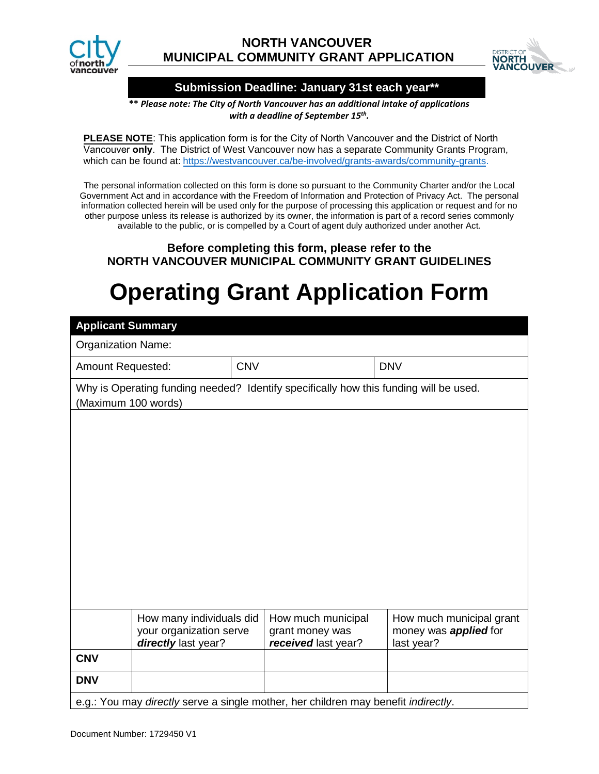



### **Submission Deadline: January 31st each year\*\***

**\*\*** *Please note: The City of North Vancouver has an additional intake of applications with a deadline of September 15th.* 

**PLEASE NOTE**: This application form is for the City of North Vancouver and the District of North Vancouver **only**. The District of [West Vancouver now has](https://westvancouver.ca/be-involved/grants-awards/community-grants) a separate Community Grants Program, [whic](https://westvancouver.ca/be-involved/grants-awards/community-grants)h can be found at: https://westvancouver.ca/be-involved/grants-awards/community-grants.

The personal information collected on this form is done so pursuant to the Community Charter and/or the Local Government Act and in accordance with the Freedom of Information and Protection of Privacy Act. The personal information collected herein will be used only for the purpose of processing this application or request and for no other purpose unless its release is authorized by its owner, the information is part of a record series commonly available to the public, or is compelled by a Court of agent duly authorized under another Act.

## **Before completing this form, please refer to the NORTH VANCOUVER MUNICIPAL COMMUNITY GRANT GUIDELINES**

# **Operating Grant Application Form**

| <b>Applicant Summary</b>                                                                                     |                                                                            |            |                                                              |                                                                        |  |  |  |  |  |  |
|--------------------------------------------------------------------------------------------------------------|----------------------------------------------------------------------------|------------|--------------------------------------------------------------|------------------------------------------------------------------------|--|--|--|--|--|--|
| <b>Organization Name:</b>                                                                                    |                                                                            |            |                                                              |                                                                        |  |  |  |  |  |  |
| <b>Amount Requested:</b>                                                                                     |                                                                            | <b>CNV</b> |                                                              | <b>DNV</b>                                                             |  |  |  |  |  |  |
| Why is Operating funding needed? Identify specifically how this funding will be used.<br>(Maximum 100 words) |                                                                            |            |                                                              |                                                                        |  |  |  |  |  |  |
|                                                                                                              |                                                                            |            |                                                              |                                                                        |  |  |  |  |  |  |
|                                                                                                              |                                                                            |            |                                                              |                                                                        |  |  |  |  |  |  |
|                                                                                                              |                                                                            |            |                                                              |                                                                        |  |  |  |  |  |  |
|                                                                                                              |                                                                            |            |                                                              |                                                                        |  |  |  |  |  |  |
|                                                                                                              |                                                                            |            |                                                              |                                                                        |  |  |  |  |  |  |
|                                                                                                              |                                                                            |            |                                                              |                                                                        |  |  |  |  |  |  |
|                                                                                                              |                                                                            |            |                                                              |                                                                        |  |  |  |  |  |  |
|                                                                                                              |                                                                            |            |                                                              |                                                                        |  |  |  |  |  |  |
|                                                                                                              |                                                                            |            |                                                              |                                                                        |  |  |  |  |  |  |
|                                                                                                              | How many individuals did<br>your organization serve<br>directly last year? |            | How much municipal<br>grant money was<br>received last year? | How much municipal grant<br>money was <b>applied</b> for<br>last year? |  |  |  |  |  |  |
| <b>CNV</b>                                                                                                   |                                                                            |            |                                                              |                                                                        |  |  |  |  |  |  |
| <b>DNV</b>                                                                                                   |                                                                            |            |                                                              |                                                                        |  |  |  |  |  |  |
| e.g.: You may directly serve a single mother, her children may benefit indirectly.                           |                                                                            |            |                                                              |                                                                        |  |  |  |  |  |  |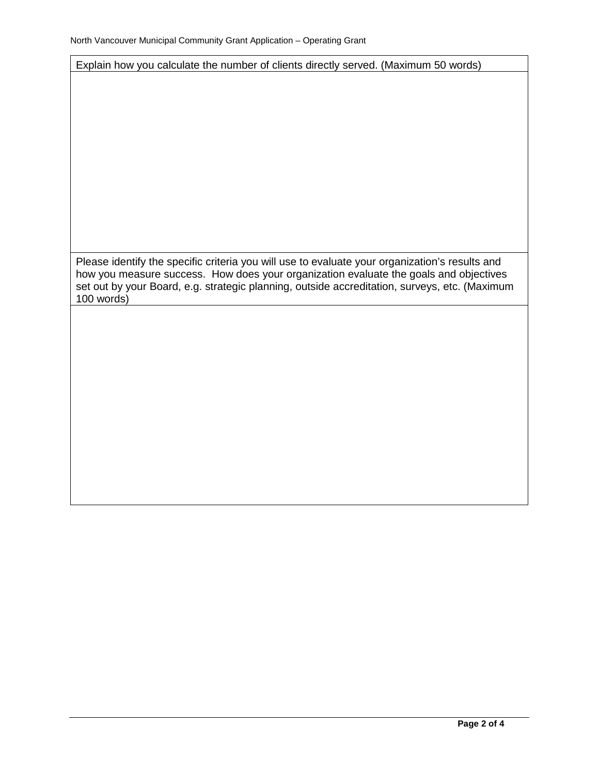Explain how you calculate the number of clients directly served. (Maximum 50 words)

Please identify the specific criteria you will use to evaluate your organization's results and how you measure success. How does your organization evaluate the goals and objectives set out by your Board, e.g. strategic planning, outside accreditation, surveys, etc. (Maximum 100 words)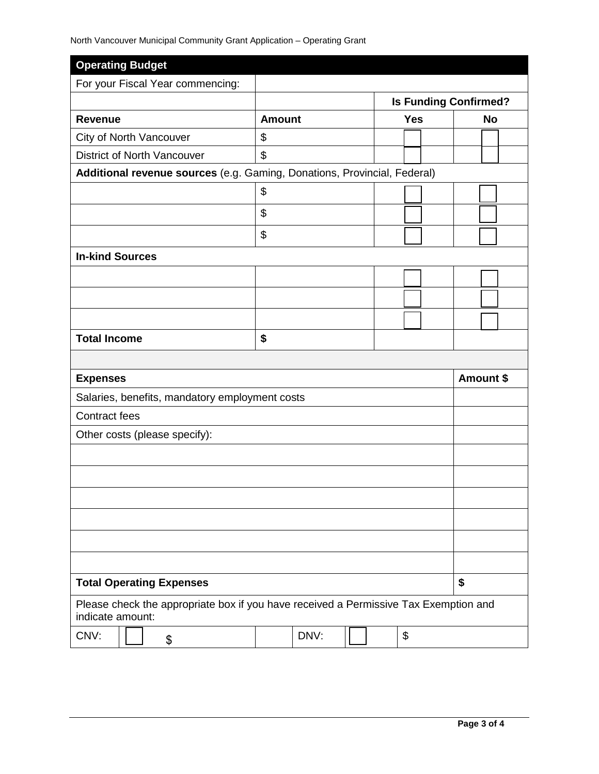| <b>Operating Budget</b>                                                                                  |               |      |  |  |                              |    |           |           |  |
|----------------------------------------------------------------------------------------------------------|---------------|------|--|--|------------------------------|----|-----------|-----------|--|
| For your Fiscal Year commencing:                                                                         |               |      |  |  |                              |    |           |           |  |
|                                                                                                          |               |      |  |  | <b>Is Funding Confirmed?</b> |    |           |           |  |
| <b>Revenue</b>                                                                                           | <b>Amount</b> |      |  |  | <b>Yes</b>                   |    |           | <b>No</b> |  |
| City of North Vancouver                                                                                  | \$            |      |  |  |                              |    |           |           |  |
| <b>District of North Vancouver</b>                                                                       | \$            |      |  |  |                              |    |           |           |  |
| Additional revenue sources (e.g. Gaming, Donations, Provincial, Federal)                                 |               |      |  |  |                              |    |           |           |  |
|                                                                                                          | \$            |      |  |  |                              |    |           |           |  |
|                                                                                                          | \$            |      |  |  |                              |    |           |           |  |
|                                                                                                          | \$            |      |  |  |                              |    |           |           |  |
| <b>In-kind Sources</b>                                                                                   |               |      |  |  |                              |    |           |           |  |
|                                                                                                          |               |      |  |  |                              |    |           |           |  |
|                                                                                                          |               |      |  |  |                              |    |           |           |  |
|                                                                                                          |               |      |  |  |                              |    |           |           |  |
| <b>Total Income</b>                                                                                      | \$            |      |  |  |                              |    |           |           |  |
|                                                                                                          |               |      |  |  |                              |    |           |           |  |
| <b>Expenses</b>                                                                                          |               |      |  |  |                              |    | Amount \$ |           |  |
| Salaries, benefits, mandatory employment costs                                                           |               |      |  |  |                              |    |           |           |  |
| <b>Contract fees</b>                                                                                     |               |      |  |  |                              |    |           |           |  |
| Other costs (please specify):                                                                            |               |      |  |  |                              |    |           |           |  |
|                                                                                                          |               |      |  |  |                              |    |           |           |  |
|                                                                                                          |               |      |  |  |                              |    |           |           |  |
|                                                                                                          |               |      |  |  |                              |    |           |           |  |
|                                                                                                          |               |      |  |  |                              |    |           |           |  |
|                                                                                                          |               |      |  |  |                              |    |           |           |  |
|                                                                                                          |               |      |  |  |                              |    |           |           |  |
| <b>Total Operating Expenses</b>                                                                          |               |      |  |  |                              | \$ |           |           |  |
| Please check the appropriate box if you have received a Permissive Tax Exemption and<br>indicate amount: |               |      |  |  |                              |    |           |           |  |
| CNV:<br>\$                                                                                               |               | DNV: |  |  | $\boldsymbol{\mathsf{S}}$    |    |           |           |  |